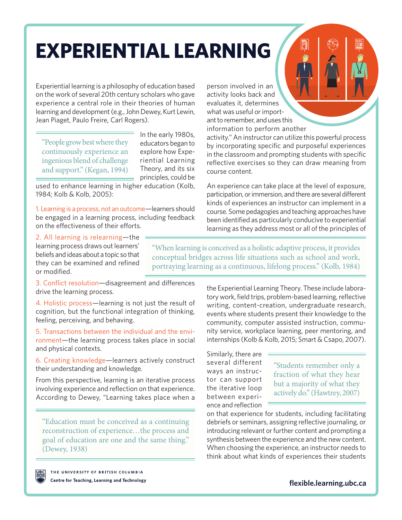# **EXPERIENTIAL LEARNING**

Experiential learning is a philosophy of education based on the work of several 20th century scholars who gave experience a central role in their theories of human learning and development (e.g., John Dewey, Kurt Lewin, Jean Piaget, Paulo Freire, Carl Rogers).

"People grow best where they continuously experience an ingenious blend of challenge and support." (Kegan, 1994)

In the early 1980s, educators began to explore how Experiential Learning Theory, and its six principles, could be

used to enhance learning in higher education (Kolb, 1984; Kolb & Kolb, 2005):

1. Learning is a process, not an outcome—learners should be engaged in a learning process, including feedback on the effectiveness of their efforts.

person involved in an activity looks back and evaluates it, determines what was useful or important to remember, and uses this information to perform another

activity." An instructor can utilize this powerful process by incorporating specific and purposeful experiences in the classroom and prompting students with specific reflective exercises so they can draw meaning from course content.

An experience can take place at the level of exposure, participation, or immersion, and there are several different kinds of experiences an instructor can implement in a course. Some pedagogies and teaching approaches have been identified as particularly conducive to experiential learning as they address most or all of the principles of

2. All learning is relearning—the learning process draws out learners' beliefs and ideas about a topic so that they can be examined and refined or modified.

"When learning is conceived as a holistic adaptive process, it provides conceptual bridges across life situations such as school and work, portraying learning as a continuous, lifelong process." (Kolb, 1984)

3. Conflict resolution—disagreement and differences drive the learning process.

4. Holistic process—learning is not just the result of cognition, but the functional integration of thinking, feeling, perceiving, and behaving.

5. Transactions between the individual and the environment—the learning process takes place in social and physical contexts.

6. Creating knowledge—learners actively construct their understanding and knowledge.

From this perspective, learning is an iterative process involving experience and reflection on that experience. According to Dewey, "Learning takes place when a

"Education must be conceived as a continuing reconstruction of experience…the process and goal of education are one and the same thing." (Dewey, 1938)

the Experiential Learning Theory. These include laboratory work, field trips, problem-based learning, reflective writing, content-creation, undergraduate research, events where students present their knowledge to the community, computer assisted instruction, community service, workplace learning, peer mentoring, and internships (Kolb & Kolb, 2015; Smart & Csapo, 2007).

Similarly, there are several different ways an instructor can support the iterative loop between experience and reflection

"Students remember only a fraction of what they hear but a majority of what they actively do." (Hawtrey, 2007)

on that experience for students, including facilitating debriefs or seminars, assigning reflective journaling, or introducing relevant or further content and prompting a synthesis between the experience and the new content. When choosing the experience, an instructor needs to think about what kinds of experiences their students



THE UNIVERSITY OF BRITISH COLUMBIA Centre for Teaching, Learning and Technology